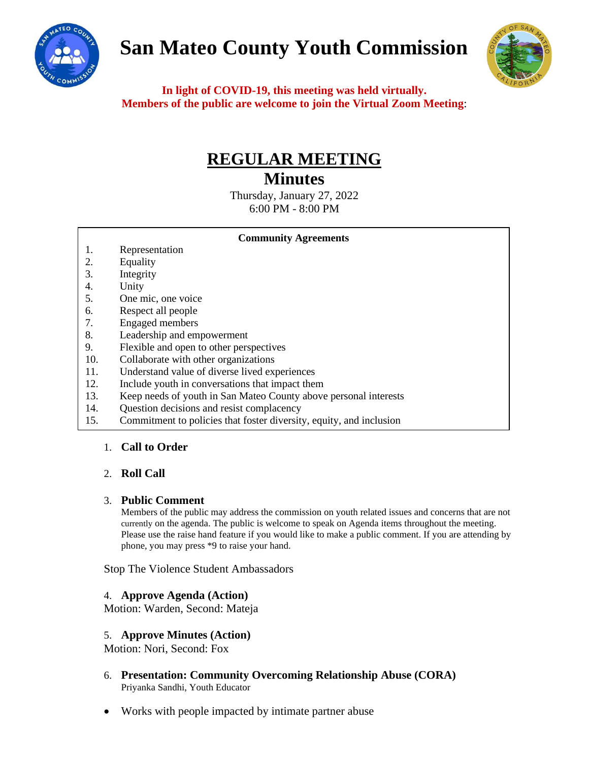

# **San Mateo County Youth Commission**



**In light of COVID-19, this meeting was held virtually. Members of the public are welcome to join the Virtual Zoom Meeting**:

## **REGULAR MEETING**

## **Minutes**

Thursday, January 27, 2022 6:00 PM - 8:00 PM

#### **Community Agreements**

- 1. Representation
- 2. Equality
- 3. Integrity
- 4. Unity
- 5. One mic, one voice
- 6. Respect all people
- 7. Engaged members
- 8. Leadership and empowerment
- 9. Flexible and open to other perspectives
- 10. Collaborate with other organizations
- 11. Understand value of diverse lived experiences
- 12. Include youth in conversations that impact them
- 13. Keep needs of youth in San Mateo County above personal interests
- 14. Question decisions and resist complacency
- 15. Commitment to policies that foster diversity, equity, and inclusion

### 1. **Call to Order**

### 2. **Roll Call**

### 3. **Public Comment**

Members of the public may address the commission on youth related issues and concerns that are not currently on the agenda. The public is welcome to speak on Agenda items throughout the meeting. Please use the raise hand feature if you would like to make a public comment. If you are attending by phone, you may press \*9 to raise your hand.

Stop The Violence Student Ambassadors

### 4. **Approve Agenda (Action)**

Motion: Warden, Second: Mateja

### 5. **Approve Minutes (Action)**

Motion: Nori, Second: Fox

- 6. **Presentation: Community Overcoming Relationship Abuse (CORA)** Priyanka Sandhi, Youth Educator
- Works with people impacted by intimate partner abuse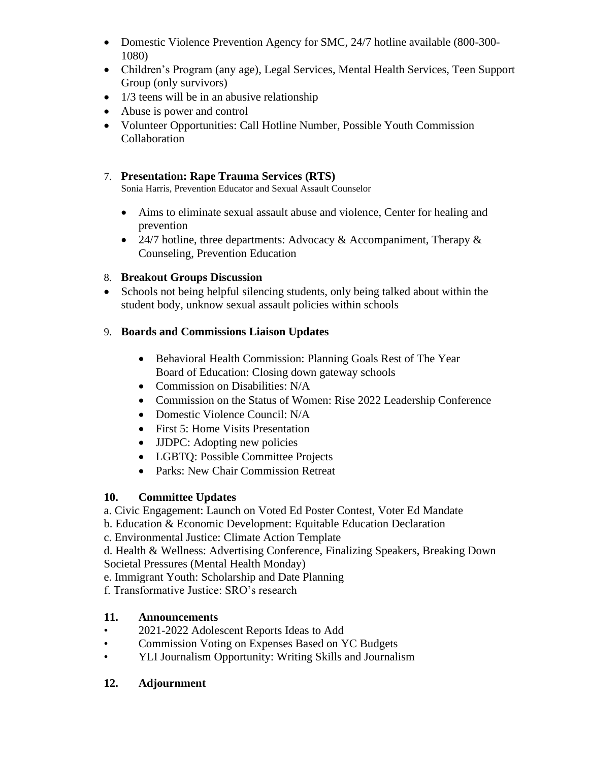- Domestic Violence Prevention Agency for SMC, 24/7 hotline available (800-300-1080)
- Children's Program (any age), Legal Services, Mental Health Services, Teen Support Group (only survivors)
- $\bullet$  1/3 teens will be in an abusive relationship
- Abuse is power and control
- Volunteer Opportunities: Call Hotline Number, Possible Youth Commission Collaboration

## 7. **Presentation: Rape Trauma Services (RTS)**

Sonia Harris, Prevention Educator and Sexual Assault Counselor

- Aims to eliminate sexual assault abuse and violence, Center for healing and prevention
- 24/7 hotline, three departments: Advocacy & Accompaniment, Therapy  $\&$ Counseling, Prevention Education

## 8. **Breakout Groups Discussion**

• Schools not being helpful silencing students, only being talked about within the student body, unknow sexual assault policies within schools

## 9. **Boards and Commissions Liaison Updates**

- Behavioral Health Commission: Planning Goals Rest of The Year Board of Education: Closing down gateway schools
- Commission on Disabilities: N/A
- Commission on the Status of Women: Rise 2022 Leadership Conference
- Domestic Violence Council: N/A
- First 5: Home Visits Presentation
- **JJDPC:** Adopting new policies
- LGBTQ: Possible Committee Projects
- Parks: New Chair Commission Retreat

## **10. Committee Updates**

- a. Civic Engagement: Launch on Voted Ed Poster Contest, Voter Ed Mandate
- b. Education & Economic Development: Equitable Education Declaration

c. Environmental Justice: Climate Action Template

d. Health & Wellness: Advertising Conference, Finalizing Speakers, Breaking Down Societal Pressures (Mental Health Monday)

- e. Immigrant Youth: Scholarship and Date Planning
- f. Transformative Justice: SRO's research

## **11. Announcements**

- 2021-2022 Adolescent Reports Ideas to Add
- Commission Voting on Expenses Based on YC Budgets
- YLI Journalism Opportunity: Writing Skills and Journalism

## **12. Adjournment**